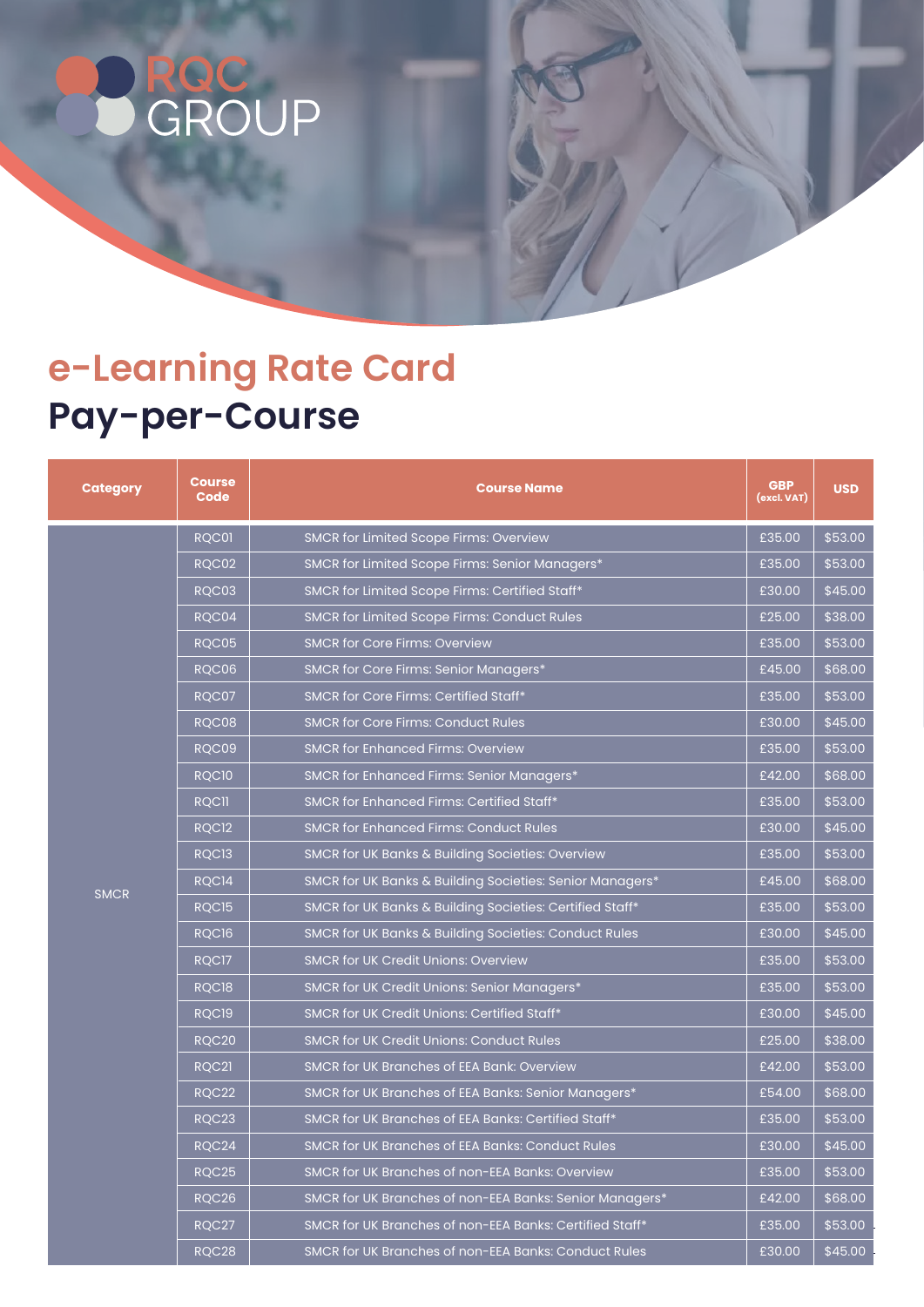## **ROC**<br>GROUP

## **e-Learning Rate Card Pay-per-Course**

| <b>Category</b> | <b>Course</b><br>Code | <b>Course Name</b>                                       | <b>GBP</b><br>(excl. VAT) | <b>USD</b> |
|-----------------|-----------------------|----------------------------------------------------------|---------------------------|------------|
| <b>SMCR</b>     | RQC01                 | <b>SMCR for Limited Scope Firms: Overview</b>            | £35.00                    | \$53.00    |
|                 | RQC02                 | SMCR for Limited Scope Firms: Senior Managers*           | £35.00                    | \$53.00    |
|                 | RQC03                 | SMCR for Limited Scope Firms: Certified Staff*           | £30.00                    | \$45.00    |
|                 | RQC04                 | <b>SMCR for Limited Scope Firms: Conduct Rules</b>       | £25.00                    | \$38.00    |
|                 | RQC05                 | <b>SMCR for Core Firms: Overview</b>                     | £35.00                    | \$53.00    |
|                 | RQC06                 | SMCR for Core Firms: Senior Managers*                    | £45.00                    | \$68.00    |
|                 | RQC07                 | SMCR for Core Firms: Certified Staff*                    | £35.00                    | \$53.00    |
|                 | RQC08                 | <b>SMCR for Core Firms: Conduct Rules</b>                | £30.00                    | \$45.00    |
|                 | RQC09                 | <b>SMCR for Enhanced Firms: Overview</b>                 | £35.00                    | \$53.00    |
|                 | RQC <sub>10</sub>     | SMCR for Enhanced Firms: Senior Managers*                | £42.00                    | \$68.00    |
|                 | <b>RQCII</b>          | SMCR for Enhanced Firms: Certified Staff*                | £35.00                    | \$53.00    |
|                 | RQC <sub>12</sub>     | <b>SMCR for Enhanced Firms: Conduct Rules</b>            | £30.00                    | \$45.00    |
|                 | RQC <sub>13</sub>     | SMCR for UK Banks & Building Societies: Overview         | £35.00                    | \$53.00    |
|                 | RQC <sub>14</sub>     | SMCR for UK Banks & Building Societies: Senior Managers* | £45.00                    | \$68.00    |
|                 | RQC15                 | SMCR for UK Banks & Building Societies: Certified Staff* | £35.00                    | \$53.00    |
|                 | RQC16                 | SMCR for UK Banks & Building Societies: Conduct Rules    | £30.00                    | \$45.00    |
|                 | RQC17                 | <b>SMCR for UK Credit Unions: Overview</b>               | £35.00                    | \$53.00    |
|                 | RQC18                 | SMCR for UK Credit Unions: Senior Managers*              | £35.00                    | \$53.00    |
|                 | RQC19                 | SMCR for UK Credit Unions: Certified Staff*              | £30.00                    | \$45.00    |
|                 | <b>RQC20</b>          | <b>SMCR for UK Credit Unions: Conduct Rules</b>          | £25.00                    | \$38.00    |
|                 | RQC21                 | <b>SMCR for UK Branches of EEA Bank: Overview</b>        | £42.00                    | \$53.00    |
|                 | <b>RQC22</b>          | SMCR for UK Branches of EEA Banks: Senior Managers*      | £54.00                    | \$68.00    |
|                 | RQC23                 | SMCR for UK Branches of EEA Banks: Certified Staff*      | £35.00                    | \$53.00    |
|                 | RQC24                 | SMCR for UK Branches of EEA Banks: Conduct Rules         | £30.00                    | \$45.00    |
|                 | <b>RQC25</b>          | SMCR for UK Branches of non-EEA Banks: Overview          | £35.00                    | \$53.00    |
|                 | RQC26                 | SMCR for UK Branches of non-EEA Banks: Senior Managers*  | £42.00                    | \$68.00    |
|                 | RQC27                 | SMCR for UK Branches of non-EEA Banks: Certified Staff*  | £35.00                    | \$53.00    |
|                 | RQC28                 | SMCR for UK Branches of non-EEA Banks: Conduct Rules     | £30.00                    | \$45.00    |